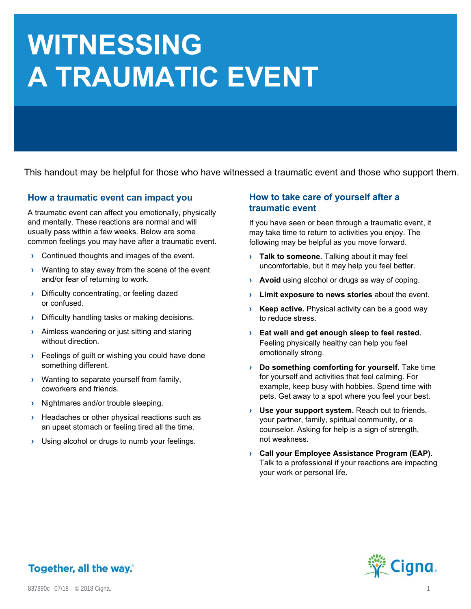# **WITNESSING A TRAUMATIC EVENT**

This handout may be helpful for those who have witnessed a traumatic event and those who support them.

#### **How a traumatic event can impact you**

A traumatic event can affect you emotionally, physically and mentally. These reactions are normal and will usually pass within a few weeks. Below are some common feelings you may have after a traumatic event.

- **›** Continued thoughts and images of the event.
- **›** Wanting to stay away from the scene of the event and/or fear of returning to work.
- **›** Difficulty concentrating, or feeling dazed or confused.
- **›** Difficulty handling tasks or making decisions.
- **›** Aimless wandering or just sitting and staring without direction.
- **›** Feelings of guilt or wishing you could have done something different.
- **›** Wanting to separate yourself from family, coworkers and friends.
- **›** Nightmares and/or trouble sleeping.
- **EXECUTE:** Headaches or other physical reactions such as an upset stomach or feeling tired all the time.
- **›** Using alcohol or drugs to numb your feelings.

#### **How to take care of yourself after a traumatic event**

If you have seen or been through a traumatic event, it may take time to return to activities you enjoy. The following may be helpful as you move forward.

- **› Talk to someone.** Talking about it may feel uncomfortable, but it may help you feel better.
- **> Avoid** using alcohol or drugs as way of coping.
- Limit exposure to news stories about the event.
- **› Keep active.** Physical activity can be a good way to reduce stress.
- **› Eat well and get enough sleep to feel rested.** Feeling physically healthy can help you feel emotionally strong.
- **› Do something comforting for yourself.** Take time for yourself and activities that feel calming. For example, keep busy with hobbies. Spend time with pets. Get away to a spot where you feel your best.
- **› Use your support system.** Reach out to friends, your partner, family, spiritual community, or a counselor. Asking for help is a sign of strength, not weakness.
- **› Call your Employee Assistance Program (EAP).** Talk to a professional if your reactions are impacting your work or personal life.



## Together, all the way.